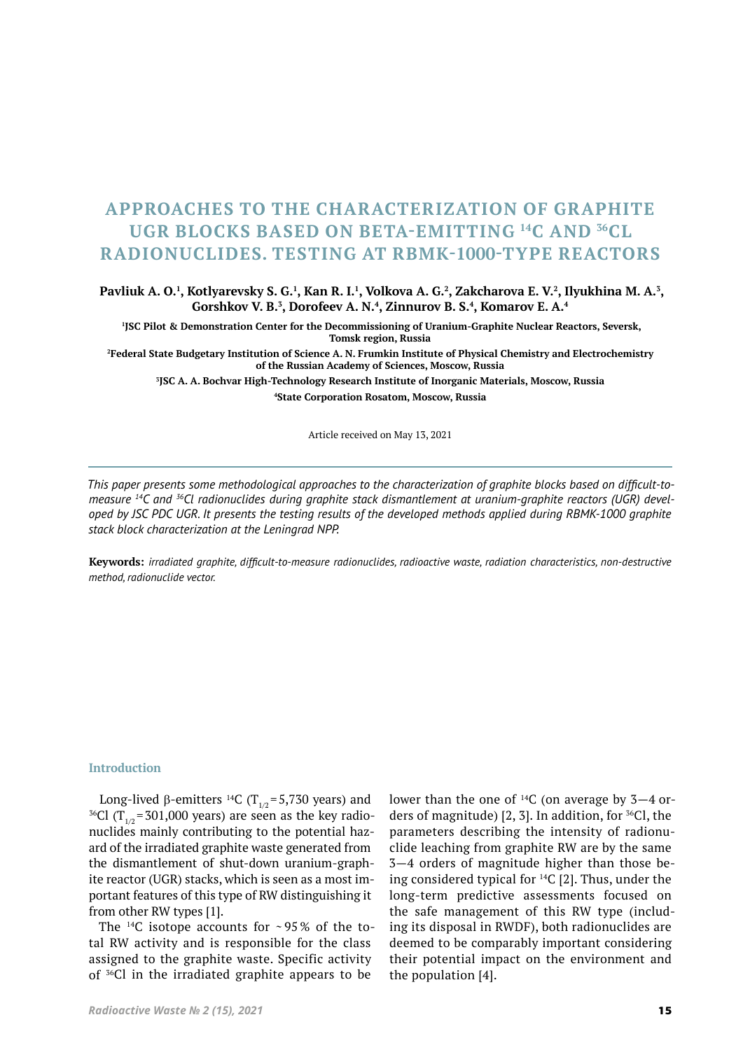# **APPROACHES TO THE CHARACTERIZATION OF GRAPHITE UGR BLOCKS BASED ON BETA-EMITTING <sup>14</sup>С AND <sup>36</sup>СL RADIONUCLIDES. TESTING AT RBMK-1000-TYPE REACTORS**

## **Pavliuk А. О.<sup>1</sup> , Kotlyarevsky S. G.<sup>1</sup> , Kan R. I.<sup>1</sup> , Volkova А. G.<sup>2</sup> , Zakcharova E. V.<sup>2</sup> , Ilyukhina M. А.<sup>3</sup> , Gorshkov V. B.<sup>3</sup> , Dorofeev А. N.<sup>4</sup> , Zinnurov B. S.<sup>4</sup> , Komarov Е. А.<sup>4</sup>**

**1 JSC Pilot & Demonstration Center for the Decommissioning of Uranium-Graphite Nuclear Reactors, Seversk, Tomsk region, Russia**

**2 Federal State Budgetary Institution of Science А. N. Frumkin Institute of Physical Chemistry and Electrochemistry of the Russian Academy of Sciences, Moscow, Russia**

**3 JSC A. A. Bochvar High-Technology Research Institute of Inorganic Materials, Moscow, Russia 4 State Corporation Rosatom, Moscow, Russia**

Article received on May 13, 2021

*This paper presents some methodological approaches to the characterization of graphite blocks based on difficult-tomeasure 14C and 36Cl radionuclides during graphite stack dismantlement at uranium-graphite reactors (UGR) developed by JSC PDC UGR. It presents the testing results of the developed methods applied during RBMK-1000 graphite stack block characterization at the Leningrad NPP.*

**Keywords:** *irradiated graphite, difficult-to-measure radionuclides, radioactive waste, radiation characteristics, non-destructive method, radionuclide vector.*

#### **Introduction**

Long-lived β-emitters <sup>14</sup>C (T<sub>1/2</sub>=5,730 years) and  $^{36}\mathrm{Cl}$  (T $_{1/2}$ =301,000 years) are seen as the key radionuclides mainly contributing to the potential hazard of the irradiated graphite waste generated from the dismantlement of shut-down uranium-graphite reactor (UGR) stacks, which is seen as a most important features of this type of RW distinguishing it from other RW types [1].

The <sup>14</sup>C isotope accounts for  $\sim$  95% of the total RW activity and is responsible for the class assigned to the graphite waste. Specific activity of 36Сl in the irradiated graphite appears to be

lower than the one of  $^{14}C$  (on average by 3–4 orders of magnitude) [2, 3]. In addition, for 36Сl, the parameters describing the intensity of radionuclide leaching from graphite RW are by the same 3—4 orders of magnitude higher than those be‑ ing considered typical for 14С [2]. Thus, under the long-term predictive assessments focused on the safe management of this RW type (including its disposal in RWDF), both radionuclides are deemed to be comparably important considering their potential impact on the environment and the population [4].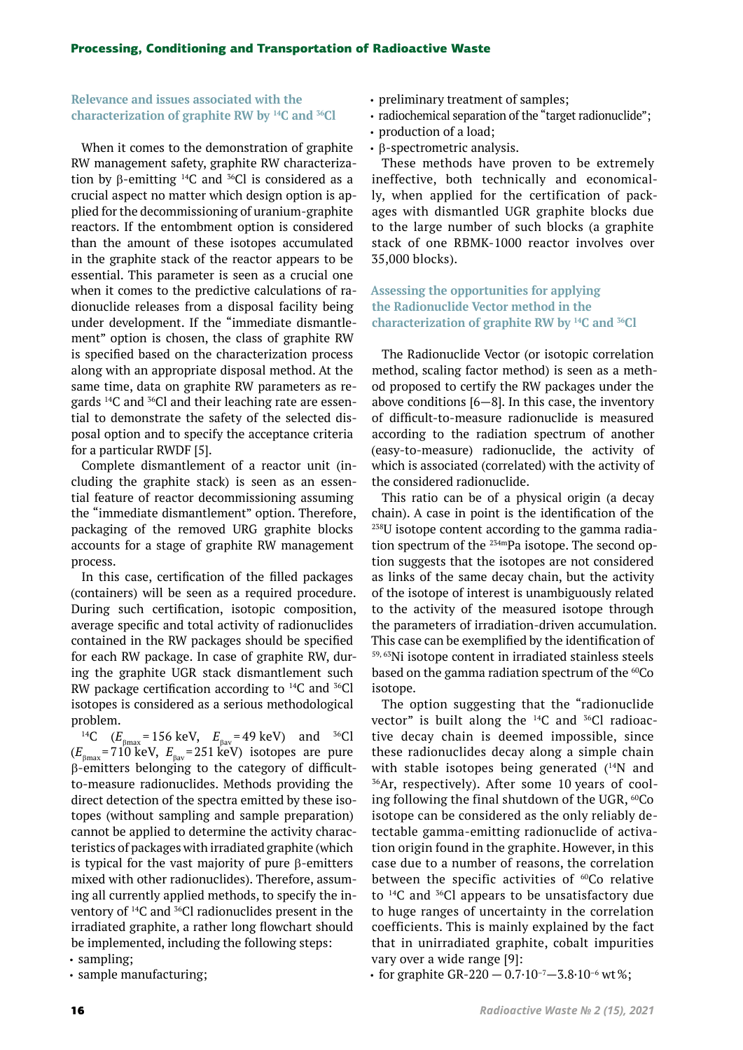# **Relevance and issues associated with the characterization of graphite RW by <sup>14</sup>С and <sup>36</sup>Сl**

When it comes to the demonstration of graphite RW management safety, graphite RW characterization by  $\beta$ -emitting <sup>14</sup>C and <sup>36</sup>Cl is considered as a crucial aspect no matter which design option is ap‑ plied for the decommissioning of uranium-graphite reactors. If the entombment option is considered than the amount of these isotopes accumulated in the graphite stack of the reactor appears to be essential. This parameter is seen as a crucial one when it comes to the predictive calculations of radionuclide releases from a disposal facility being under development. If the "immediate dismantlement" option is chosen, the class of graphite RW is specified based on the characterization process along with an appropriate disposal method. At the same time, data on graphite RW parameters as regards <sup>14</sup>C and <sup>36</sup>Cl and their leaching rate are essential to demonstrate the safety of the selected disposal option and to specify the acceptance criteria for a particular RWDF [5].

Complete dismantlement of a reactor unit (including the graphite stack) is seen as an essential feature of reactor decommissioning assuming the "immediate dismantlement" option. Therefore, packaging of the removed URG graphite blocks accounts for a stage of graphite RW management process.

In this case, certification of the filled packages (containers) will be seen as a required procedure. During such certification, isotopic composition, average specific and total activity of radionuclides contained in the RW packages should be specified for each RW package. In case of graphite RW, during the graphite UGR stack dismantlement such RW package certification according to 14C and 36Cl isotopes is considered as a serious methodological

problem.<br><sup>14</sup>C ( $E_{\text{pmax}}$  = 156 keV,  $E_{\text{pav}}$  = 49 keV) and <sup>36</sup>Cl  $(E_{\text{Bmax}}= 710 \text{ keV}, E_{\text{Bav}}=251 \text{ keV})$  isotopes are pure β-emitters belonging to the category of difficultto-measure radionuclides. Methods providing the direct detection of the spectra emitted by these isotopes (without sampling and sample preparation) cannot be applied to determine the activity characteristics of packages with irradiated graphite (which is typical for the vast majority of pure β-emitters mixed with other radionuclides). Therefore, assuming all currently applied methods, to specify the inventory of <sup>14</sup>C and <sup>36</sup>Cl radionuclides present in the irradiated graphite, a rather long flowchart should be implemented, including the following steps:

• sampling;

• sample manufacturing;

- preliminary treatment of samples;
- radiochemical separation of the "target radionuclide";
- production of a load;
- $\cdot$   $\beta$ -spectrometric analysis.

These methods have proven to be extremely ineffective, both technically and economically, when applied for the certification of packages with dismantled UGR graphite blocks due to the large number of such blocks (a graphite stack of one RBMK‑1000 reactor involves over 35,000 blocks).

**Assessing the opportunities for applying the Radionuclide Vector method in the characterization of graphite RW by 14C and 36Cl**

The Radionuclide Vector (or isotopic correlation method, scaling factor method) is seen as a method proposed to certify the RW packages under the above conditions [6—8]. In this case, the inventory of difficult-to-measure radionuclide is measured according to the radiation spectrum of another (easy-to-measure) radionuclide, the activity of which is associated (correlated) with the activity of the considered radionuclide.

This ratio can be of a physical origin (a decay chain). A case in point is the identification of the <sup>238</sup>U isotope content according to the gamma radiation spectrum of the  $234$ mPa isotope. The second option suggests that the isotopes are not considered as links of the same decay chain, but the activity of the isotope of interest is unambiguously related to the activity of the measured isotope through the parameters of irradiation-driven accumulation. This case can be exemplified by the identification of 59, 63Ni isotope content in irradiated stainless steels based on the gamma radiation spectrum of the  $^{60}Co$ isotope.

The option suggesting that the "radionuclide vector" is built along the  $^{14}C$  and  $^{36}Cl$  radioactive decay chain is deemed impossible, since these radionuclides decay along a simple chain with stable isotopes being generated  $(^{14}N$  and  $^{36}Ar$ , respectively). After some 10 years of cool– ing following the final shutdown of the UGR, <sup>60</sup>Co isotope can be considered as the only reliably detectable gamma-emitting radionuclide of activation origin found in the graphite. However, in this case due to a number of reasons, the correlation between the specific activities of <sup>60</sup>Co relative to 14С and <sup>36</sup>Сl appears to be unsatisfactory due to huge ranges of uncertainty in the correlation coefficients. This is mainly explained by the fact that in unirradiated graphite, cobalt impurities vary over a wide range [9]:

• for graphite GR-220 – 0.7 $\cdot$ 10<sup>-7</sup> – 3.8 $\cdot$ 10<sup>-6</sup> wt%;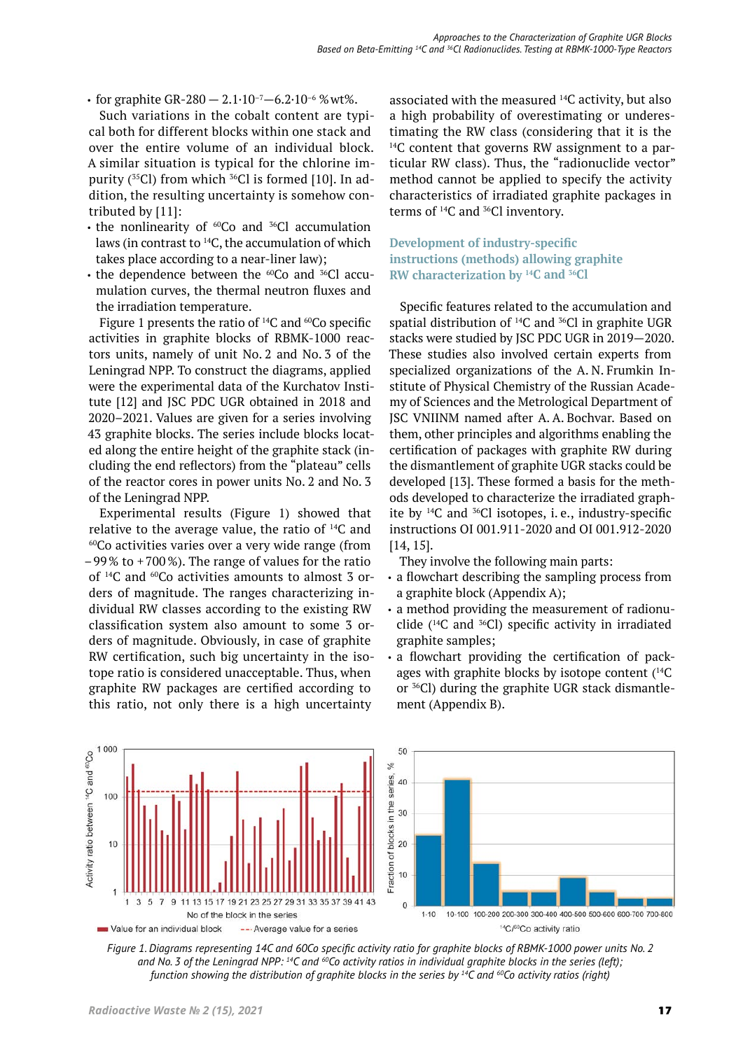• for graphite GR-280 – 2.1 $\cdot$ 10<sup>-7</sup> – 6.2 $\cdot$ 10<sup>-6</sup> % wt%.

Such variations in the cobalt content are typical both for different blocks within one stack and over the entire volume of an individual block. A similar situation is typical for the chlorine im‑ purity (<sup>35</sup>Cl) from which <sup>36</sup>Cl is formed [10]. In addition, the resulting uncertainty is somehow contributed by [11]:

- the nonlinearity of  ${}^{60}Co$  and  ${}^{36}Cl$  accumulation laws (in contrast to <sup>14</sup>C, the accumulation of which takes place according to a near-liner law);
- the dependence between the  ${}^{60}Co$  and  ${}^{36}Cl$  accumulation curves, the thermal neutron fluxes and the irradiation temperature.

Figure 1 presents the ratio of  $^{14}C$  and  $^{60}Co$  specific activities in graphite blocks of RBMK-1000 reactors units, namely of unit No. 2 and No. 3 of the Leningrad NPP. To construct the diagrams, applied were the experimental data of the Kurchatov Institute [12] and JSC PDC UGR obtained in 2018 and 2020–2021. Values are given for a series involving 43 graphite blocks. The series include blocks locat‑ ed along the entire height of the graphite stack (including the end reflectors) from the "plateau" cells of the reactor cores in power units No. 2 and No. 3 of the Leningrad NPP.

Experimental results (Figure 1) showed that relative to the average value, the ratio of 14C and  $60^{\circ}$ Co activities varies over a very wide range (from  $-99\%$  to  $+700\%$ ). The range of values for the ratio of <sup>14</sup>C and <sup>60</sup>Co activities amounts to almost 3 orders of magnitude. The ranges characterizing individual RW classes according to the existing RW classification system also amount to some 3 or‑ ders of magnitude. Obviously, in case of graphite RW certification, such big uncertainty in the isotope ratio is considered unacceptable. Thus, when graphite RW packages are certified according to this ratio, not only there is a high uncertainty

associated with the measured 14C activity, but also a high probability of overestimating or underestimating the RW class (considering that it is the  $14C$  content that governs RW assignment to a particular RW class). Thus, the "radionuclide vector" method cannot be applied to specify the activity characteristics of irradiated graphite packages in terms of 14C and 36Cl inventory.

# **Development of industry-specific instructions (methods) allowing graphite RW characterization by 14C and 36Cl**

Specific features related to the accumulation and spatial distribution of  $^{14}C$  and  $^{36}Cl$  in graphite UGR stacks were studied by JSC PDC UGR in 2019—2020. These studies also involved certain experts from specialized organizations of the A. N. Frumkin In‑ stitute of Physical Chemistry of the Russian Academy of Sciences and the Metrological Department of JSC VNIINM named after A. A. Bochvar. Based on them, other principles and algorithms enabling the certification of packages with graphite RW during the dismantlement of graphite UGR stacks could be developed [13]. These formed a basis for the methods developed to characterize the irradiated graphite by  $^{14}C$  and  $^{36}Cl$  isotopes, i.e., industry-specific instructions OI 001.911-2020 and OI 001.912-2020 [14, 15].

They involve the following main parts:

- a flowchart describing the sampling process from a graphite block (Appendix A);
- a method providing the measurement of radionuclide  $(14)$ C and  $36$ Cl) specific activity in irradiated graphite samples;
- a flowchart providing the certification of packages with graphite blocks by isotope content (<sup>14</sup>C or <sup>36</sup>Cl) during the graphite UGR stack dismantlement (Appendix B).



*Figure 1. Diagrams representing 14C and 60Co specific activity ratio for graphite blocks of RBMK-1000 power units No. 2 and No. 3 of the Leningrad NPP: 14C and 60Co activity ratios in individual graphite blocks in the series (left); function showing the distribution of graphite blocks in the series by 14C and 60Co activity ratios (right)*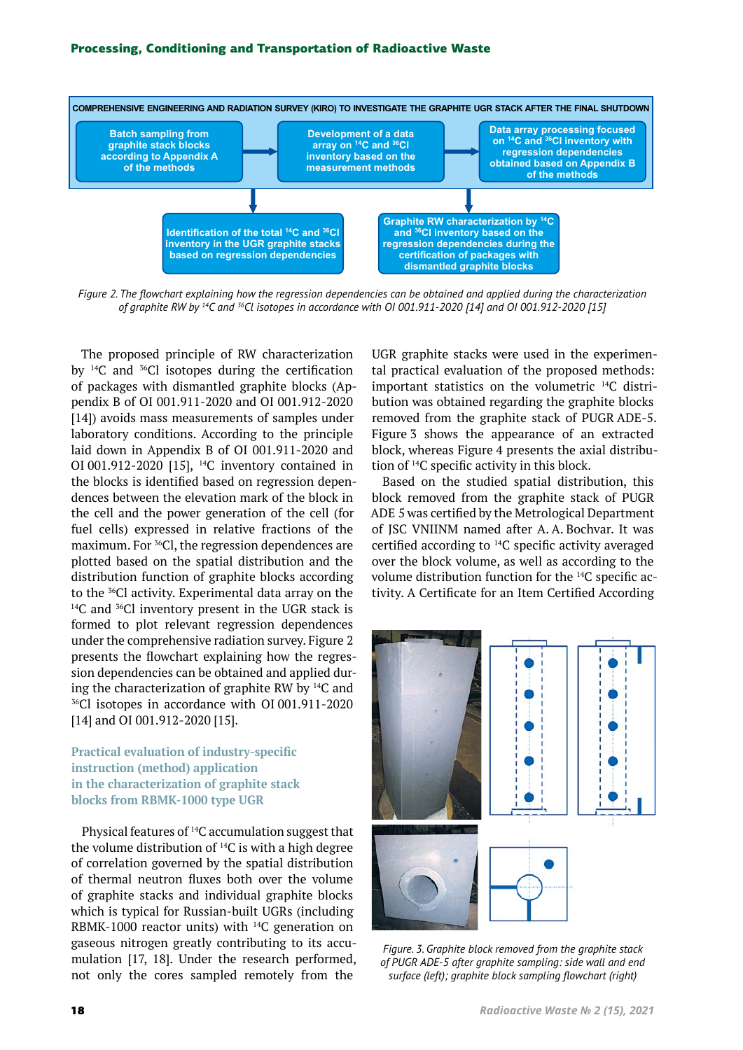

*Figure 2. The flowchart explaining how the regression dependencies can be obtained and applied during the characterization of graphite RW by 14C and 36Cl isotopes in accordance with OI 001.911-2020 [14] and OI 001.912-2020 [15]*

The proposed principle of RW characterization by  $^{14}C$  and  $^{36}Cl$  isotopes during the certification of packages with dismantled graphite blocks (Appendix B of OI 001.911-2020 and OI 001.912-2020 [14]) avoids mass measurements of samples under laboratory conditions. According to the principle laid down in Appendix B of OI 001.911-2020 and OI 001.912-2020 [15], 14C inventory contained in the blocks is identified based on regression dependences between the elevation mark of the block in the cell and the power generation of the cell (for fuel cells) expressed in relative fractions of the maximum. For 36Cl, the regression dependences are plotted based on the spatial distribution and the distribution function of graphite blocks according to the <sup>36</sup>Cl activity. Experimental data array on the <sup>14</sup>C and <sup>36</sup>Cl inventory present in the UGR stack is formed to plot relevant regression dependences under the comprehensive radiation survey. Figure 2 presents the flowchart explaining how the regression dependencies can be obtained and applied during the characterization of graphite RW by <sup>14</sup>C and <sup>36</sup>Cl isotopes in accordance with OI 001.911-2020 [14] and OI 001.912-2020 [15].

# **Practical evaluation of industry-specific instruction (method) application in the characterization of graphite stack blocks from RBMK-1000 type UGR**

Physical features of 14C accumulation suggest that the volume distribution of  $^{14}C$  is with a high degree of correlation governed by the spatial distribution of thermal neutron fluxes both over the volume of graphite stacks and individual graphite blocks which is typical for Russian-built UGRs (including RBMK-1000 reactor units) with  $^{14}C$  generation on gaseous nitrogen greatly contributing to its accumulation [17, 18]. Under the research performed, not only the cores sampled remotely from the

UGR graphite stacks were used in the experimental practical evaluation of the proposed methods: important statistics on the volumetric <sup>14</sup>C distribution was obtained regarding the graphite blocks removed from the graphite stack of PUGR ADE‑5. Figure 3 shows the appearance of an extracted block, whereas Figure 4 presents the axial distribution of 14C specific activity in this block.

Based on the studied spatial distribution, this block removed from the graphite stack of PUGR ADE 5 was certified by the Metrological Department of JSC VNIINM named after A. A. Bochvar. It was certified according to <sup>14</sup>C specific activity averaged over the block volume, as well as according to the volume distribution function for the <sup>14</sup>C specific activity. A Certificate for an Item Certified According



*Figure. 3. Graphite block removed from the graphite stack of PUGR ADE-5 after graphite sampling: side wall and end surface (left); graphite block sampling flowchart (right)*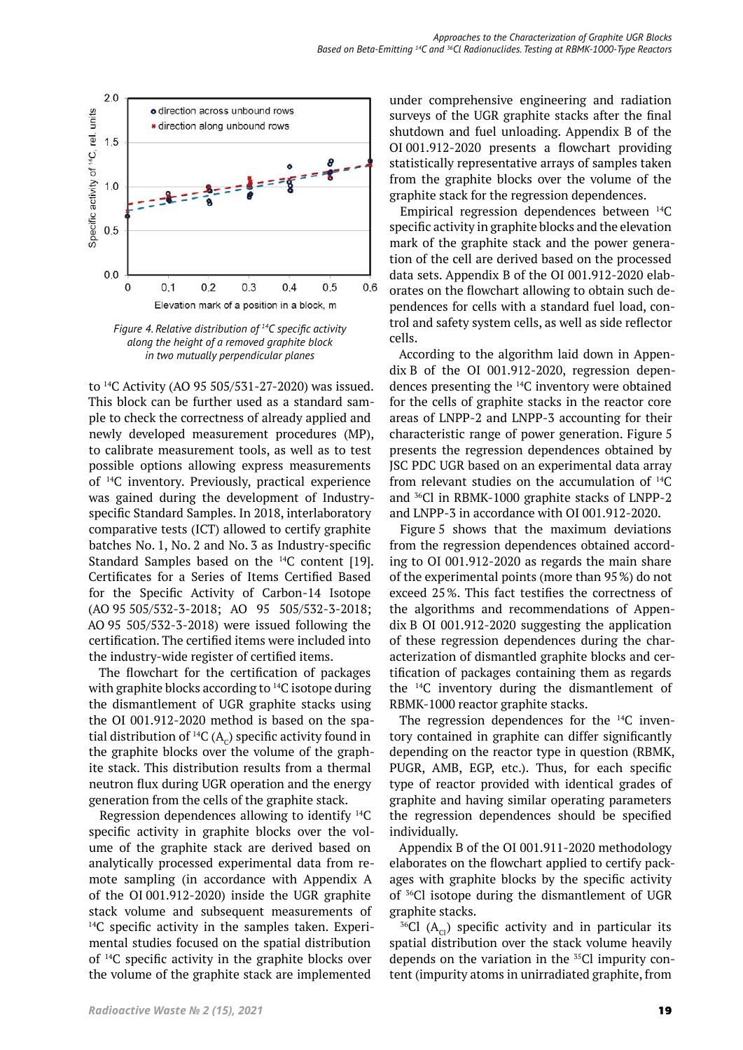

*Figure 4. Relative distribution of 14C specific activity along the height of a removed graphite block in two mutually perpendicular planes*

to 14C Activity (AO 95 505/531-27-2020) was issued. This block can be further used as a standard sample to check the correctness of already applied and newly developed measurement procedures (MP), to calibrate measurement tools, as well as to test possible options allowing express measurements of 14C inventory. Previously, practical experience was gained during the development of Industryspecific Standard Samples. In 2018, interlaboratory comparative tests (ICT) allowed to certify graphite batches No. 1, No. 2 and No. 3 as Industry-specific Standard Samples based on the 14C content [19]. Certificates for a Series of Items Certified Based for the Specific Activity of Carbon-14 Isotope (AO 95 505/532-3-2018; AO 95 505/532-3-2018; AO 95 505/532-3-2018) were issued following the certification. The certified items were included into the industry-wide register of certified items.

The flowchart for the certification of packages with graphite blocks according to <sup>14</sup>C isotope during the dismantlement of UGR graphite stacks using the OI 001.912-2020 method is based on the spatial distribution of  ${}^{14}C(A_c)$  specific activity found in the graphite blocks over the volume of the graphite stack. This distribution results from a thermal neutron flux during UGR operation and the energy generation from the cells of the graphite stack.

Regression dependences allowing to identify 14C specific activity in graphite blocks over the volume of the graphite stack are derived based on analytically processed experimental data from re‑ mote sampling (in accordance with Appendix A of the OI 001.912-2020) inside the UGR graphite stack volume and subsequent measurements of  $14C$  specific activity in the samples taken. Experimental studies focused on the spatial distribution of 14C specific activity in the graphite blocks over the volume of the graphite stack are implemented

under comprehensive engineering and radiation surveys of the UGR graphite stacks after the final shutdown and fuel unloading. Appendix B of the OI 001.912‑2020 presents a flowchart providing statistically representative arrays of samples taken from the graphite blocks over the volume of the graphite stack for the regression dependences.

Empirical regression dependences between 14C specific activity in graphite blocks and the elevation mark of the graphite stack and the power generation of the cell are derived based on the processed data sets. Appendix B of the OI 001.912‑2020 elab‑ orates on the flowchart allowing to obtain such dependences for cells with a standard fuel load, control and safety system cells, as well as side reflector cells.

According to the algorithm laid down in Appen $d$ ix B of the OI 001.912-2020, regression dependences presenting the 14C inventory were obtained for the cells of graphite stacks in the reactor core areas of LNPP-2 and LNPP-3 accounting for their characteristic range of power generation. Figure 5 presents the regression dependences obtained by JSC PDC UGR based on an experimental data array from relevant studies on the accumulation of 14C and 36Cl in RBMK-1000 graphite stacks of LNPP-2 and LNPP-3 in accordance with OI 001.912-2020.

Figure 5 shows that the maximum deviations from the regression dependences obtained according to OI 001.912-2020 as regards the main share of the experimental points (more than 95%) do not exceed 25%. This fact testifies the correctness of the algorithms and recommendations of Appendix B OI 001.912-2020 suggesting the application of these regression dependences during the characterization of dismantled graphite blocks and certification of packages containing them as regards the 14C inventory during the dismantlement of RBMK‑1000 reactor graphite stacks.

The regression dependences for the  $^{14}C$  inventory contained in graphite can differ significantly depending on the reactor type in question (RBMK, PUGR, AMB, EGP, etc.). Thus, for each specific type of reactor provided with identical grades of graphite and having similar operating parameters the regression dependences should be specified individually.

Appendix B of the OI 001.911-2020 methodology elaborates on the flowchart applied to certify packages with graphite blocks by the specific activity of 36Cl isotope during the dismantlement of UGR graphite stacks.<br><sup>36</sup>Cl (A<sub>cl</sub>) specific activity and in particular its

spatial distribution over the stack volume heavily depends on the variation in the  $35<sup>5</sup>$ Cl impurity content (impurity atoms in unirradiated graphite, from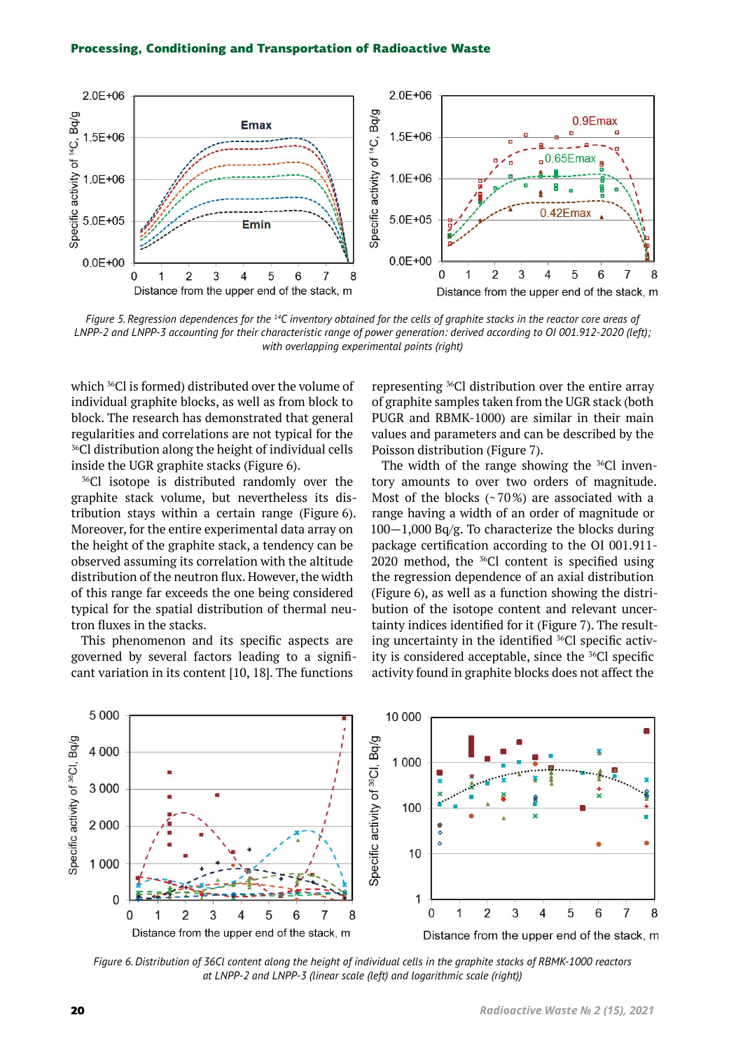

*Figure 5. Regression dependences for the 14C inventory obtained for the cells of graphite stacks in the reactor core areas of LNPP-2 and LNPP-3 accounting for their characteristic range of power generation: derived according to OI 001.912-2020 (left); with overlapping experimental points (right)*

which <sup>36</sup>Cl is formed) distributed over the volume of individual graphite blocks, as well as from block to block. The research has demonstrated that general regularities and correlations are not typical for the <sup>36</sup>Сl distribution along the height of individual cells inside the UGR graphite stacks (Figure 6).

<sup>36</sup>Cl isotope is distributed randomly over the graphite stack volume, but nevertheless its distribution stays within a certain range (Figure 6). Moreover, for the entire experimental data array on the height of the graphite stack, a tendency can be observed assuming its correlation with the altitude distribution of the neutron flux. However, the width of this range far exceeds the one being considered typical for the spatial distribution of thermal neutron fluxes in the stacks.

This phenomenon and its specific aspects are governed by several factors leading to a significant variation in its content [10, 18]. The functions

representing 36Сl distribution over the entire array of graphite samples taken from the UGR stack (both PUGR and RBMK-1000) are similar in their main values and parameters and can be described by the Poisson distribution (Figure 7).

The width of the range showing the  $36$ Cl inventory amounts to over two orders of magnitude. Most of the blocks (~70%) are associated with a range having a width of an order of magnitude or 100—1,000 Bq/g. To characterize the blocks during package certification according to the OI 001.911- 2020 method, the  $36$ Cl content is specified using the regression dependence of an axial distribution (Figure 6), as well as a function showing the distribution of the isotope content and relevant uncertainty indices identified for it (Figure 7). The resulting uncertainty in the identified <sup>36</sup>Cl specific activity is considered acceptable, since the 36Cl specific activity found in graphite blocks does not affect the



*Figure 6. Distribution of 36Сl content along the height of individual cells in the graphite stacks of RBMK-1000 reactors at LNPP‑2 and LNPP-3 (linear scale (left) and logarithmic scale (right))*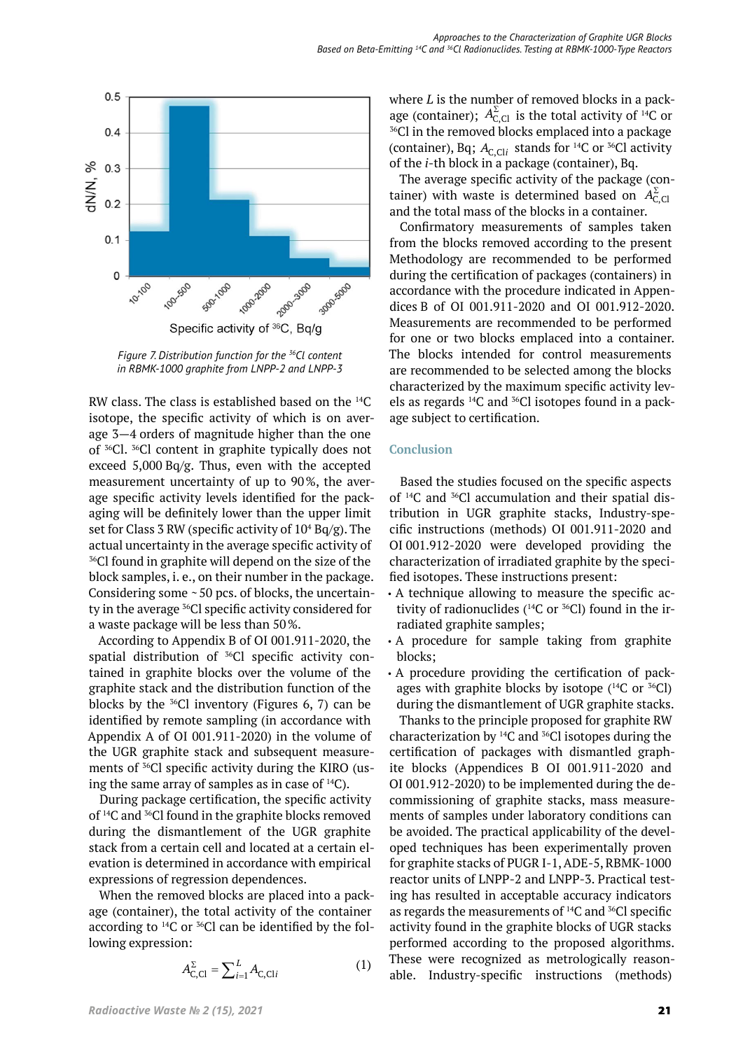

*Figure 7. Distribution function for the 36Сl content in RBMK-1000 graphite from LNPP-2 and LNPP-3*

RW class. The class is established based on the 14C isotope, the specific activity of which is on average 3—4 orders of magnitude higher than the one of <sup>36</sup>Cl.<sup>36</sup>Cl content in graphite typically does not exceed 5,000 Bq/g. Thus, even with the accepted measurement uncertainty of up to 90%, the average specific activity levels identified for the packaging will be definitely lower than the upper limit set for Class 3 RW (specific activity of  $10^4$  Bq/g). The actual uncertainty in the average specific activity of 36Cl found in graphite will depend on the size of the block samples, i. e., on their number in the package. Considering some  $\sim$  50 pcs. of blocks, the uncertainty in the average 36Cl specific activity considered for a waste package will be less than 50%.

According to Appendix B of OI 001.911-2020, the spatial distribution of <sup>36</sup>Cl specific activity contained in graphite blocks over the volume of the graphite stack and the distribution function of the blocks by the  $36$ Cl inventory (Figures 6, 7) can be identified by remote sampling (in accordance with Appendix A of OI 001.911-2020) in the volume of the UGR graphite stack and subsequent measurements of <sup>36</sup>Cl specific activity during the KIRO (using the same array of samples as in case of  $^{14}C$ ).

During package certification, the specific activity of 14C and 36Cl found in the graphite blocks removed during the dismantlement of the UGR graphite stack from a certain cell and located at a certain elevation is determined in accordance with empirical expressions of regression dependences.

When the removed blocks are placed into a package (container), the total activity of the container according to  $^{14}C$  or  $^{36}Cl$  can be identified by the following expression:

$$
A_{C,Cl}^{\Sigma} = \sum_{i=1}^{L} A_{C,Cli}
$$
 (1)

where *L* is the number of removed blocks in a package (container);  $A_{C,Cl}^{\Sigma}$  is the total activity of <sup>14</sup>C or <sup>36</sup>Cl in the removed blocks emplaced into a package (container), Bq;  $A_{C, \text{Cl}i}$  stands for <sup>14</sup>C or <sup>36</sup>Cl activity of the *i*-th block in a package (container), Bq.

The average specific activity of the package (container) with waste is determined based on  $A_{C,\text{Cl}}^{\Sigma}$ and the total mass of the blocks in a container.

Confirmatory measurements of samples taken from the blocks removed according to the present Methodology are recommended to be performed during the certification of packages (containers) in accordance with the procedure indicated in Appendices B of OI 001.911-2020 and OI 001.912-2020. Measurements are recommended to be performed for one or two blocks emplaced into a container. The blocks intended for control measurements are recommended to be selected among the blocks characterized by the maximum specific activity levels as regards <sup>14</sup>C and <sup>36</sup>Cl isotopes found in a package subject to certification.

### **Conclusion**

Based the studies focused on the specific aspects of <sup>14</sup>C and <sup>36</sup>Cl accumulation and their spatial distribution in UGR graphite stacks, Industry-spe‑ cific instructions (methods) OI 001.911-2020 and OI 001.912-2020 were developed providing the characterization of irradiated graphite by the specified isotopes. These instructions present:

- A technique allowing to measure the specific activity of radionuclides  $(14)$ C or  $36$ Cl) found in the irradiated graphite samples;
- A procedure for sample taking from graphite blocks;
- A procedure providing the certification of packages with graphite blocks by isotope  $(^{14}C$  or  $^{36}Cl)$ during the dismantlement of UGR graphite stacks.

Thanks to the principle proposed for graphite RW characterization by  $^{14}$ C and  $^{36}$ Cl isotopes during the certification of packages with dismantled graph‑ ite blocks (Appendices B OI 001.911-2020 and OI 001.912-2020) to be implemented during the de‑ commissioning of graphite stacks, mass measurements of samples under laboratory conditions can be avoided. The practical applicability of the developed techniques has been experimentally proven for graphite stacks of PUGR I-1, ADE-5, RBMK-1000 reactor units of LNPP-2 and LNPP-3. Practical testing has resulted in acceptable accuracy indicators as regards the measurements of 14C and 36Cl specific activity found in the graphite blocks of UGR stacks performed according to the proposed algorithms. These were recognized as metrologically reasonable. Industry-specific instructions (methods)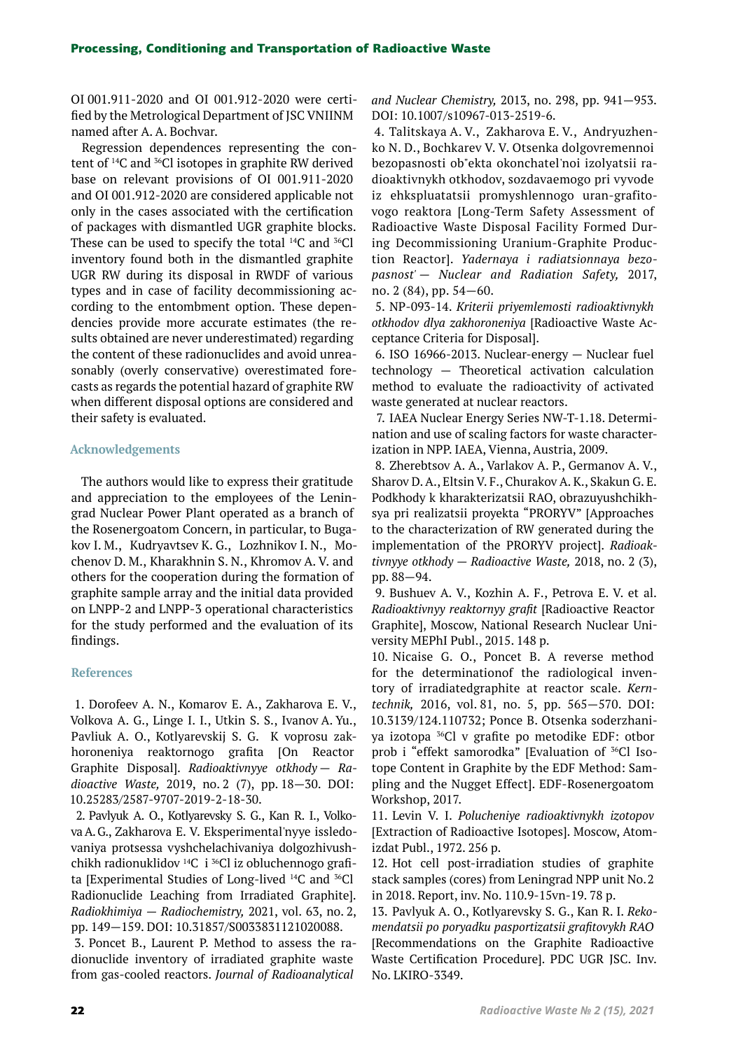OI 001.911-2020 and OI 001.912-2020 were certified by the Metrological Department of JSC VNIINM named after A. A. Bochvar.

Regression dependences representing the content of 14C and 36Cl isotopes in graphite RW derived base on relevant provisions of OI 001.911-2020 and OI 001.912-2020 are considered applicable not only in the cases associated with the certification of packages with dismantled UGR graphite blocks. These can be used to specify the total  $^{14}C$  and  $^{36}Cl$ inventory found both in the dismantled graphite UGR RW during its disposal in RWDF of various types and in case of facility decommissioning according to the entombment option. These dependencies provide more accurate estimates (the results obtained are never underestimated) regarding the content of these radionuclides and avoid unreasonably (overly conservative) overestimated forecasts as regards the potential hazard of graphite RW when different disposal options are considered and their safety is evaluated.

## **Acknowledgements**

The authors would like to express their gratitude and appreciation to the employees of the Leningrad Nuclear Power Plant operated as a branch of the Rosenergoatom Concern, in particular, to Bugakov I. M., Kudryavtsev K. G., Lozhnikov I. N., Mochenov D. M., Kharakhnin S. N., Khromov A. V. and others for the cooperation during the formation of graphite sample array and the initial data provided on LNPP-2 and LNPP-3 operational characteristics for the study performed and the evaluation of its findings.

### **References**

1. Dorofeev A. N., Komarov E. A., Zakharova E. V., Volkova A. G., Linge I. I., Utkin S. S., Ivanov A. Yu., Pavliuk A. O., Kotlyarevskij S. G. K voprosu zakhoroneniya reaktornogo grafita [On Reactor Graphite Disposal].*Radioaktivnyye otkhody — Radioactive Waste,* 2019, no. 2 (7), pp. 18—30. DOI: 10.25283/2587-9707-2019-2-18-30.

2. Pavlyuk A. O., Kotlyarevsky S. G., Kan R. I., Volkova A.G., Zakharova E.V. Eksperimental'nyye issledovaniya protsessa vyshchelachivaniya dolgozhivushchikh radionuklidov<sup>14</sup>С i <sup>36</sup>Cl iz obluchennogo grafita [Experimental Studies of Long-lived <sup>14</sup>С and <sup>36</sup>Сl Radionuclide Leaching from Irradiated Graphite]. *Radiokhimiya — Radiochemistry,* 2021, vol. 63, no. 2, pp. 149—159. DOI: 10.31857/S0033831121020088.

3. Poncet B., Laurent P. Method to assess the radionuclide inventory of irradiated graphite waste from gas-cooled reactors.*Journal of Radioanalytical* 

*and Nuclear Chemistry,* 2013, no. 298, pp. 941—953. DOI: 10.1007/s10967-013-2519-6.

4. Talitskaya A.V., Zakharova E.V., Andryuzhenko N. D., Bochkarev V. V. Otsenka dolgovremennoi bezopasnosti ob"ekta okonchatel'noi izolyatsii ra‑ dioaktivnykh otkhodov, sozdavaemogo pri vyvode iz ehkspluatatsii promyshlennogo uran-grafitovogo reaktora [Long-Term Safety Assessment of Radioactive Waste Disposal Facility Formed During Decommissioning Uranium-Graphite Production Reactor].*Yadernaya i radiatsionnaya bezopasnost' — Nuclear and Radiation Safety,* 2017, no. 2 (84), pp. 54—60.

5. NP-093-14. *Kriterii priyemlemosti radioaktivnykh otkhodov dlya zakhoroneniya* [Radioactive Waste Ac‑ ceptance Criteria for Disposal].

6. ISO 16966-2013. Nuclear-energy  $-$  Nuclear fuel technology — Theoretical activation calculation method to evaluate the radioactivity of activated waste generated at nuclear reactors.

7. IAEA Nuclear Energy Series NW-T-1.18. Determination and use of scaling factors for waste characterization in NPP. IAEA, Vienna, Austria, 2009.

8. Zherebtsov A. A., Varlakov A. P., Germanov A. V., Sharov D. A., Eltsin V. F., Churakov A. K., Skakun G. E. Podkhody k kharakterizatsii RAO, obrazuyushchikh‑ sya pri realizatsii proyekta "PRORYV" [Approaches to the characterization of RW generated during the implementation of the PRORYV project]. *Radioaktivnyye otkhody — Radioactive Waste,* 2018, no. 2 (3), pp. 88—94.

9. Bushuev A. V., Kozhin A. F., Petrova E. V. et al. *Radioaktivnyy reaktornyy grafit* [Radioactive Reactor Graphite], Moscow, National Research Nuclear University MEPhI Publ., 2015. 148 p.

10. Nicaise G. O., Poncet B. A reverse method for the determinationof the radiological inventory of irradiatedgraphite at reactor scale.*Kerntechnik,* 2016, vol. 81, no. 5, pp. 565—570. DOI: 10.3139/124.110732; Ponce B. Otsenka soderzhani‑ ya izotopa 36Cl v grafite po metodike EDF: otbor prob i "effekt samorodka" [Evaluation of <sup>36</sup>Cl Isotope Content in Graphite by the EDF Method: Sampling and the Nugget Effect]. EDF-Rosenergoatom Workshop, 2017.

11. Levin V. I.*Polucheniye radioaktivnykh izotopov*  [Extraction of Radioactive Isotopes]. Moscow, Atomizdat Publ., 1972. 256 p.

12. Hot cell post-irradiation studies of graphite stack samples (cores) from Leningrad NPP unit No.2 in 2018. Report, inv. No. 110.9-15vn-19. 78 p.

13. Pavlyuk A. O., Kotlyarevsky S. G., Kan R. I. *Rekomendatsii po poryadku pasportizatsii grafitovykh RAO*  [Recommendations on the Graphite Radioactive Waste Certification Procedure]. PDC UGR JSC. Inv. No. LKIRO-3349.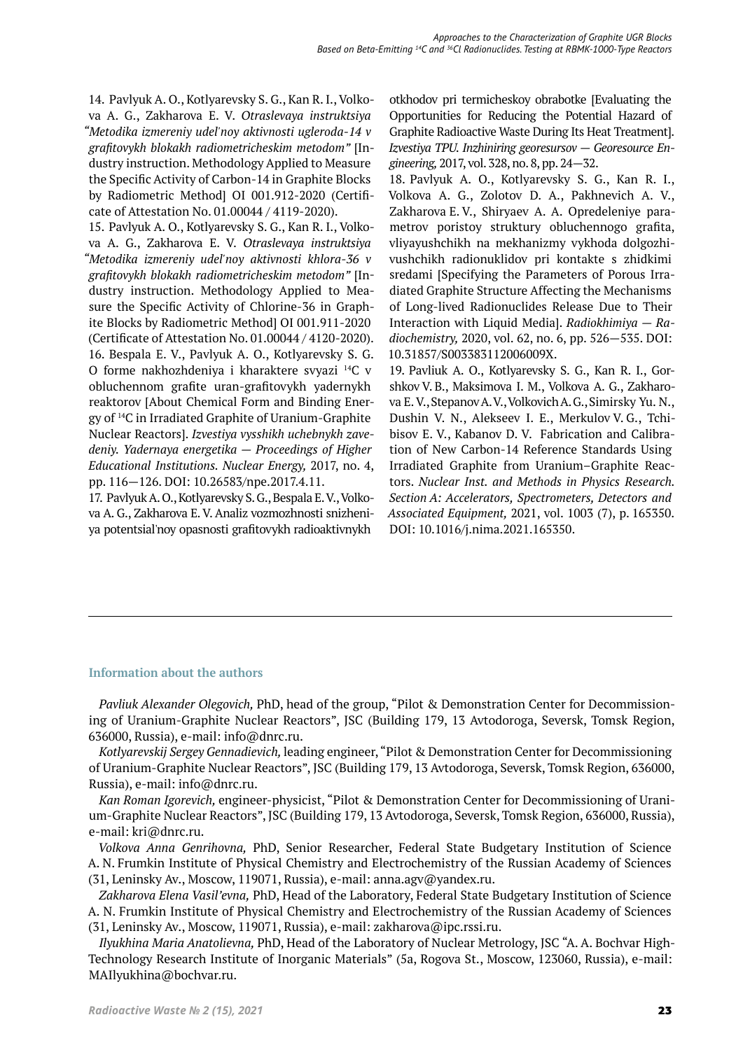14. Pavlyuk A. O., Kotlyarevsky S. G., Kan R. I., Volkova A. G., Zakharova E. V.*Otraslevaya instruktsiya "Metodika izmereniy udel'noy aktivnosti ugleroda-14 v grafitovykh blokakh radiometricheskim metodom"* [In‑ dustry instruction. Methodology Applied to Measure the Specific Activity of Carbon-14 in Graphite Blocks by Radiometric Method] OI 001.912-2020 (Certificate of Attestation No. 01.00044 / 4119-2020).

15. Pavlyuk A. O., Kotlyarevsky S. G., Kan R. I., Volkova A. G., Zakharova E. V.*Otraslevaya instruktsiya "Metodika izmereniy udel'noy aktivnosti khlora-36 v grafitovykh blokakh radiometricheskim metodom"* [In‑ dustry instruction. Methodology Applied to Measure the Specific Activity of Chlorine-36 in Graphite Blocks by Radiometric Method] OI 001.911-2020 (Certificate of Attestation No. 01.00044 / 4120-2020). 16. Bespala E. V., Pavlyuk A. O., Kotlyarevsky S. G. O forme nakhozhdeniya i kharaktere svyazi 14C v obluchennom grafite uran-grafitovykh yadernykh reaktorov [About Chemical Form and Binding Energy of 14C in Irradiated Graphite of Uranium-Graphite Nuclear Reactors].*Izvestiya vysshikh uchebnykh zavedeniy. Yadernaya energetika — Proceedings of Higher Educational Institutions. Nuclear Energy,* 2017, no. 4, pp. 116—126. DOI: 10.26583/npe.2017.4.11.

17. Pavlyuk A. O., Kotlyarevsky S. G., Bespala E. V., Volkova A. G., Zakharova E. V. Analiz vozmozhnosti snizheniya potentsial'noy opasnosti grafitovykh radioaktivnykh

otkhodov pri termicheskoy obrabotke [Evaluating the Opportunities for Reducing the Potential Hazard of Graphite Radioactive Waste During Its Heat Treatment]. *Izvestiya TPU. Inzhiniring georesursov — Georesource Engineering,* 2017, vol. 328, no. 8, pp. 24—32.

18. Pavlyuk A. O., Kotlyarevsky S. G., Kan R. I., Volkova A. G., Zolotov D. A., Pakhnevich A. V., Zakharova E.V., Shiryaev A. A. Opredeleniye parametrov poristoy struktury obluchennogo grafita, vliyayushchikh na mekhanizmy vykhoda dolgozhi‑ vushchikh radionuklidov pri kontakte s zhidkimi sredami [Specifying the Parameters of Porous Irradiated Graphite Structure Affecting the Mechanisms of Long-lived Radionuclides Release Due to Their Interaction with Liquid Media].*Radiokhimiya — Radiochemistry,* 2020, vol. 62, no. 6, pp. 526—535. DOI: 10.31857/S003383112006009X.

19. Pavliuk A. O., Kotlyarevsky S. G., Kan R. I., Gorshkov V.B., Maksimova I.M., Volkova A.G., Zakharova E. V., Stepanov A. V., Volkovich A. G., Simirsky Yu. N., Dushin V. N., Alekseev I. E., Merkulov V. G., Tchibisov E. V., Kabanov D. V. Fabrication and Calibration of New Carbon-14 Reference Standards Using Irradiated Graphite from Uranium-Graphite Reactors.*Nuclear Inst. and Methods in Physics Research. Section A: Accelerators, Spectrometers, Detectors and Associated Equipment,* 2021, vol. 1003 (7), p. 165350. DOI: 10.1016/j.nima.2021.165350.

# **Information about the authors**

*Pavliuk Alexander Olegovich,* PhD, head of the group, "Pilot & Demonstration Center for Decommission‑ ing of Uranium-Graphite Nuclear Reactors", JSC (Building 179, 13 Avtodoroga, Seversk, Tomsk Region, 636000, Russia), e-mail: info@dnrc.ru.

*Kotlyarevskij Sergey Gennadievich,* leading engineer, "Pilot & Demonstration Center for Decommissioning of Uranium-Graphite Nuclear Reactors", JSC (Building 179, 13 Avtodoroga, Seversk, Tomsk Region, 636000, Russia), e-mail: info@dnrc.ru.

*Kan Roman Igorevich,* engineer-physicist, "Pilot & Demonstration Center for Decommissioning of Urani‑ um-Graphite Nuclear Reactors", JSC (Building 179, 13 Avtodoroga, Seversk, Tomsk Region, 636000, Russia), e-mail: kri@dnrc.ru.

*Volkova Anna Genrihovna,* PhD, Senior Researcher, Federal State Budgetary Institution of Science А. N. Frumkin Institute of Physical Chemistry and Electrochemistry of the Russian Academy of Sciences (31, Leninsky Av., Moscow, 119071, Russia), e-mail: anna.agv@yandex.ru.

*Zakharova Elena Vasil'evna,* PhD, Head of the Laboratory, Federal State Budgetary Institution of Science А. N. Frumkin Institute of Physical Chemistry and Electrochemistry of the Russian Academy of Sciences (31, Leninsky Av., Moscow, 119071, Russia), e-mail: zakharova@ipc.rssi.ru.

*Ilyukhina Maria Anatolievna,* PhD, Head of the Laboratory of Nuclear Metrology, JSC "A. A. Bochvar High-Technology Research Institute of Inorganic Materials" (5а, Rogova St., Moscow, 123060, Russia), e-mail: MAIlyukhina@bochvar.ru.